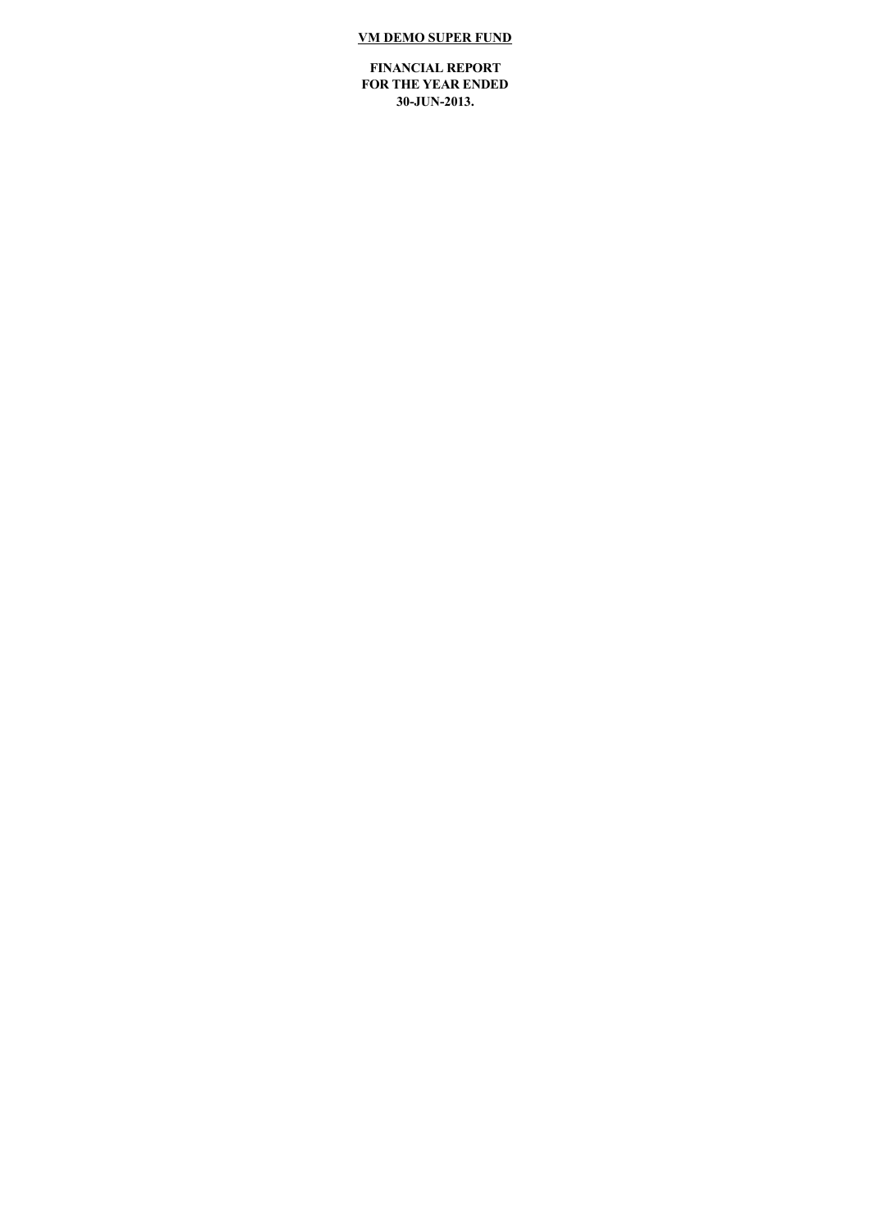# **VM DEMO SUPER FUND**

**FINANCIAL REPORT FOR THE YEAR ENDED** 30-JUN-2013.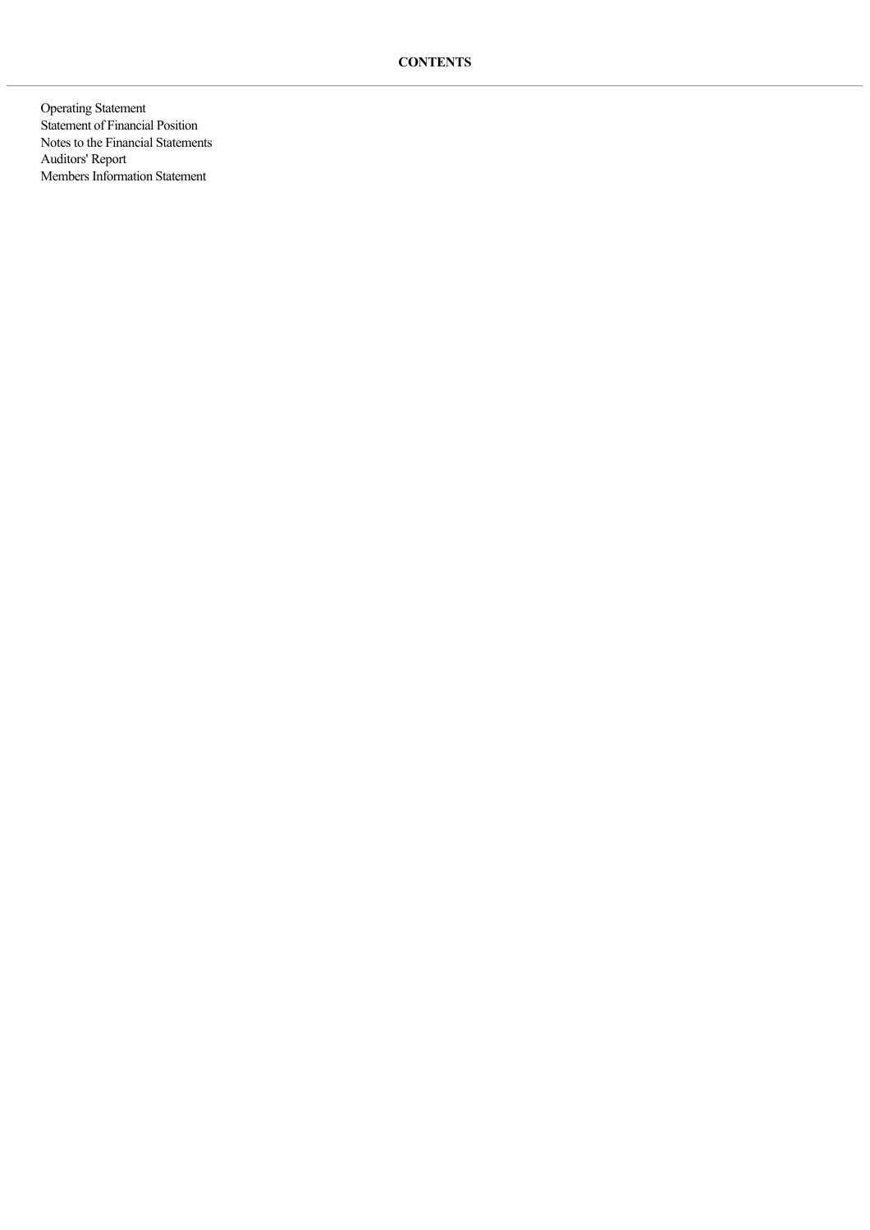Operating Statement Statement of Financial Position Notes to the Financial Statements Auditors' Report Members Information Statement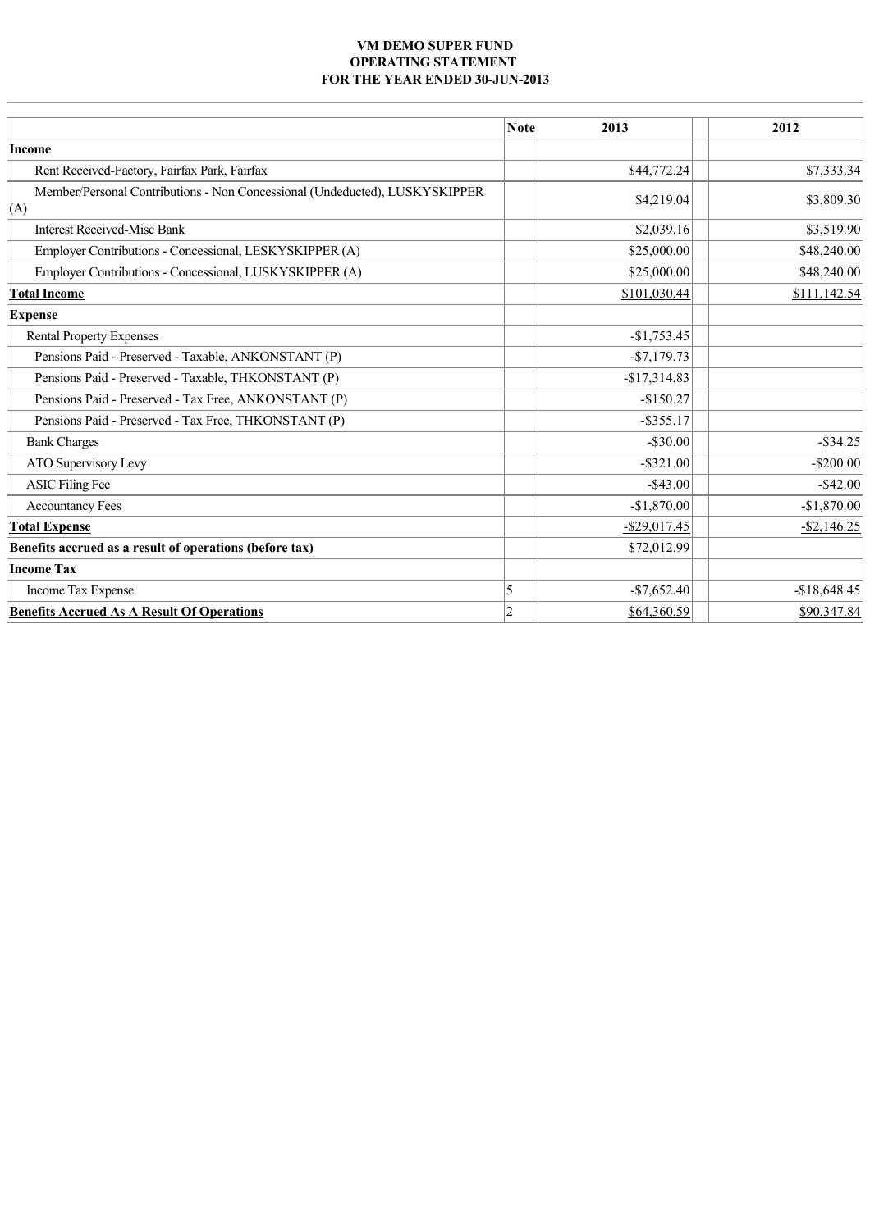## **VM DEMO SUPER FUND OPERATING STATEMENT**  FOR THE YEAR ENDED 30-JUN-2013

|                                                                                    | <b>Note</b> | 2013            | 2012           |  |
|------------------------------------------------------------------------------------|-------------|-----------------|----------------|--|
| <b>Income</b>                                                                      |             |                 |                |  |
| Rent Received-Factory, Fairfax Park, Fairfax                                       |             | \$44,772.24     | \$7,333.34     |  |
| Member/Personal Contributions - Non Concessional (Undeducted), LUSKYSKIPPER<br>(A) |             | \$4,219.04      | \$3,809.30     |  |
| <b>Interest Received-Misc Bank</b>                                                 |             | \$2,039.16      | \$3,519.90     |  |
| Employer Contributions - Concessional, LESKYSKIPPER (A)                            |             | \$25,000.00     | \$48,240.00    |  |
| Employer Contributions - Concessional, LUSKYSKIPPER (A)                            |             | \$25,000.00     | \$48,240.00    |  |
| <b>Total Income</b>                                                                |             | \$101,030.44    | \$111,142.54   |  |
| <b>Expense</b>                                                                     |             |                 |                |  |
| <b>Rental Property Expenses</b>                                                    |             | $-$1,753.45$    |                |  |
| Pensions Paid - Preserved - Taxable, ANKONSTANT (P)                                |             | $-$7,179.73$    |                |  |
| Pensions Paid - Preserved - Taxable, THKONSTANT (P)                                |             | $-$17,314.83$   |                |  |
| Pensions Paid - Preserved - Tax Free, ANKONSTANT (P)                               |             | $-$150.27$      |                |  |
| Pensions Paid - Preserved - Tax Free, THKONSTANT (P)                               |             | $-$ \$355.17    |                |  |
| <b>Bank Charges</b>                                                                |             | $-$ \$30.00     | $-$ \$34.25    |  |
| ATO Supervisory Levy                                                               |             | $-$ \$321.00    | $-$200.00$     |  |
| <b>ASIC Filing Fee</b>                                                             |             | $-$ \$43.00     | $-$ \$42.00    |  |
| <b>Accountancy Fees</b>                                                            |             | $-$1,870.00$    | $-$1,870.00$   |  |
| <b>Total Expense</b>                                                               |             | $-$ \$29,017.45 | $-$ \$2,146.25 |  |
| Benefits accrued as a result of operations (before tax)                            |             | \$72,012.99     |                |  |
| <b>Income Tax</b>                                                                  |             |                 |                |  |
| Income Tax Expense                                                                 | 5           | $-$7,652.40$    | $-$18,648.45$  |  |
| <b>Benefits Accrued As A Result Of Operations</b>                                  | $ 2\rangle$ | \$64,360.59     | \$90,347.84    |  |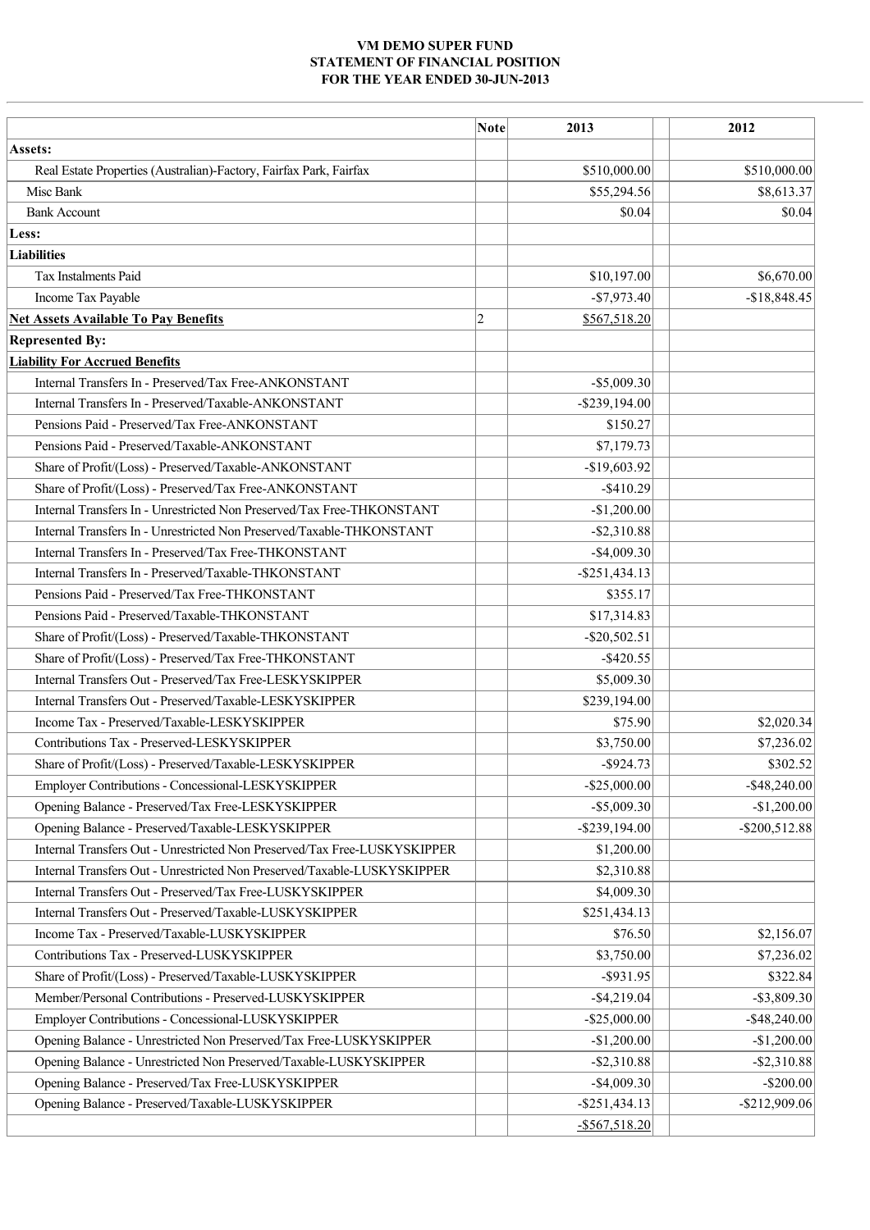## **VM DEMO SUPER FUND STATEMENT OF FINANCIAL POSITION** FOR THE YEAR ENDED 30-JUN-2013

|                                                                           | <b>Note</b>    | 2013             | 2012             |
|---------------------------------------------------------------------------|----------------|------------------|------------------|
| Assets:                                                                   |                |                  |                  |
| Real Estate Properties (Australian)-Factory, Fairfax Park, Fairfax        |                | \$510,000.00     | \$510,000.00     |
| Misc Bank                                                                 |                | \$55,294.56      | \$8,613.37       |
| <b>Bank Account</b>                                                       |                | \$0.04           | \$0.04           |
| Less:                                                                     |                |                  |                  |
| Liabilities                                                               |                |                  |                  |
| <b>Tax Instalments Paid</b>                                               |                | \$10,197.00      | \$6,670.00       |
| Income Tax Payable                                                        |                | $-$7,973.40$     | $-$18,848.45$    |
| <b>Net Assets Available To Pay Benefits</b>                               | $\overline{c}$ | \$567,518.20     |                  |
| <b>Represented By:</b>                                                    |                |                  |                  |
| <b>Liability For Accrued Benefits</b>                                     |                |                  |                  |
| Internal Transfers In - Preserved/Tax Free-ANKONSTANT                     |                | $-$ \$5,009.30   |                  |
| Internal Transfers In - Preserved/Taxable-ANKONSTANT                      |                | $-$ \$239,194.00 |                  |
| Pensions Paid - Preserved/Tax Free-ANKONSTANT                             |                | \$150.27         |                  |
| Pensions Paid - Preserved/Taxable-ANKONSTANT                              |                | \$7,179.73       |                  |
| Share of Profit/(Loss) - Preserved/Taxable-ANKONSTANT                     |                | $-$19,603.92$    |                  |
| Share of Profit/(Loss) - Preserved/Tax Free-ANKONSTANT                    |                | $-$ \$410.29     |                  |
| Internal Transfers In - Unrestricted Non Preserved/Tax Free-THKONSTANT    |                | $-$1,200.00$     |                  |
| Internal Transfers In - Unrestricted Non Preserved/Taxable-THKONSTANT     |                | $-$ \$2,310.88   |                  |
| Internal Transfers In - Preserved/Tax Free-THKONSTANT                     |                | $-$ \$4,009.30   |                  |
| Internal Transfers In - Preserved/Taxable-THKONSTANT                      |                | $-$ \$251,434.13 |                  |
| Pensions Paid - Preserved/Tax Free-THKONSTANT                             |                | \$355.17         |                  |
| Pensions Paid - Preserved/Taxable-THKONSTANT                              |                | \$17,314.83      |                  |
| Share of Profit/(Loss) - Preserved/Taxable-THKONSTANT                     |                | $-$ \$20,502.51  |                  |
| Share of Profit/(Loss) - Preserved/Tax Free-THKONSTANT                    |                | $-$ \$420.55     |                  |
| Internal Transfers Out - Preserved/Tax Free-LESKYSKIPPER                  |                | \$5,009.30       |                  |
| Internal Transfers Out - Preserved/Taxable-LESKYSKIPPER                   |                | \$239,194.00     |                  |
| Income Tax - Preserved/Taxable-LESKYSKIPPER                               |                | \$75.90          | \$2,020.34       |
| Contributions Tax - Preserved-LESKYSKIPPER                                |                | \$3,750.00       | \$7,236.02       |
| Share of Profit/(Loss) - Preserved/Taxable-LESKYSKIPPER                   |                | $-$ \$924.73     | \$302.52]        |
| Employer Contributions - Concessional-LESKYSKIPPER                        |                | $-$ \$25,000.00  | $-$ \$48,240.00  |
| Opening Balance - Preserved/Tax Free-LESKYSKIPPER                         |                | $-$ \$5,009.30   | $-$1,200.00$     |
| Opening Balance - Preserved/Taxable-LESKYSKIPPER                          |                | $-$ \$239,194.00 | $-$ \$200,512.88 |
| Internal Transfers Out - Unrestricted Non Preserved/Tax Free-LUSKYSKIPPER |                | \$1,200.00       |                  |
| Internal Transfers Out - Unrestricted Non Preserved/Taxable-LUSKYSKIPPER  |                | \$2,310.88       |                  |
| Internal Transfers Out - Preserved/Tax Free-LUSKYSKIPPER                  |                | \$4,009.30       |                  |
| Internal Transfers Out - Preserved/Taxable-LUSKYSKIPPER                   |                | \$251,434.13     |                  |
| Income Tax - Preserved/Taxable-LUSKYSKIPPER                               |                | \$76.50          | \$2,156.07       |
| Contributions Tax - Preserved-LUSKYSKIPPER                                |                | \$3,750.00       | \$7,236.02       |
| Share of Profit/(Loss) - Preserved/Taxable-LUSKYSKIPPER                   |                | $-$ \$931.95     | \$322.84         |
| Member/Personal Contributions - Preserved-LUSKYSKIPPER                    |                | $-$ \$4,219.04   | $-$ \$3,809.30   |
| Employer Contributions - Concessional-LUSKYSKIPPER                        |                | $-$ \$25,000.00  | $-$ \$48,240.00  |
| Opening Balance - Unrestricted Non Preserved/Tax Free-LUSKYSKIPPER        |                | $-$1,200.00$     | $-$1,200.00$     |
| Opening Balance - Unrestricted Non Preserved/Taxable-LUSKYSKIPPER         |                | $-$ \$2,310.88   | $-$ \$2,310.88   |
| Opening Balance - Preserved/Tax Free-LUSKYSKIPPER                         |                | $-$ \$4,009.30   | $-$200.00$       |
| Opening Balance - Preserved/Taxable-LUSKYSKIPPER                          |                | $-$ \$251,434.13 | $-$ \$212,909.06 |
|                                                                           |                | $-$ \$567,518.20 |                  |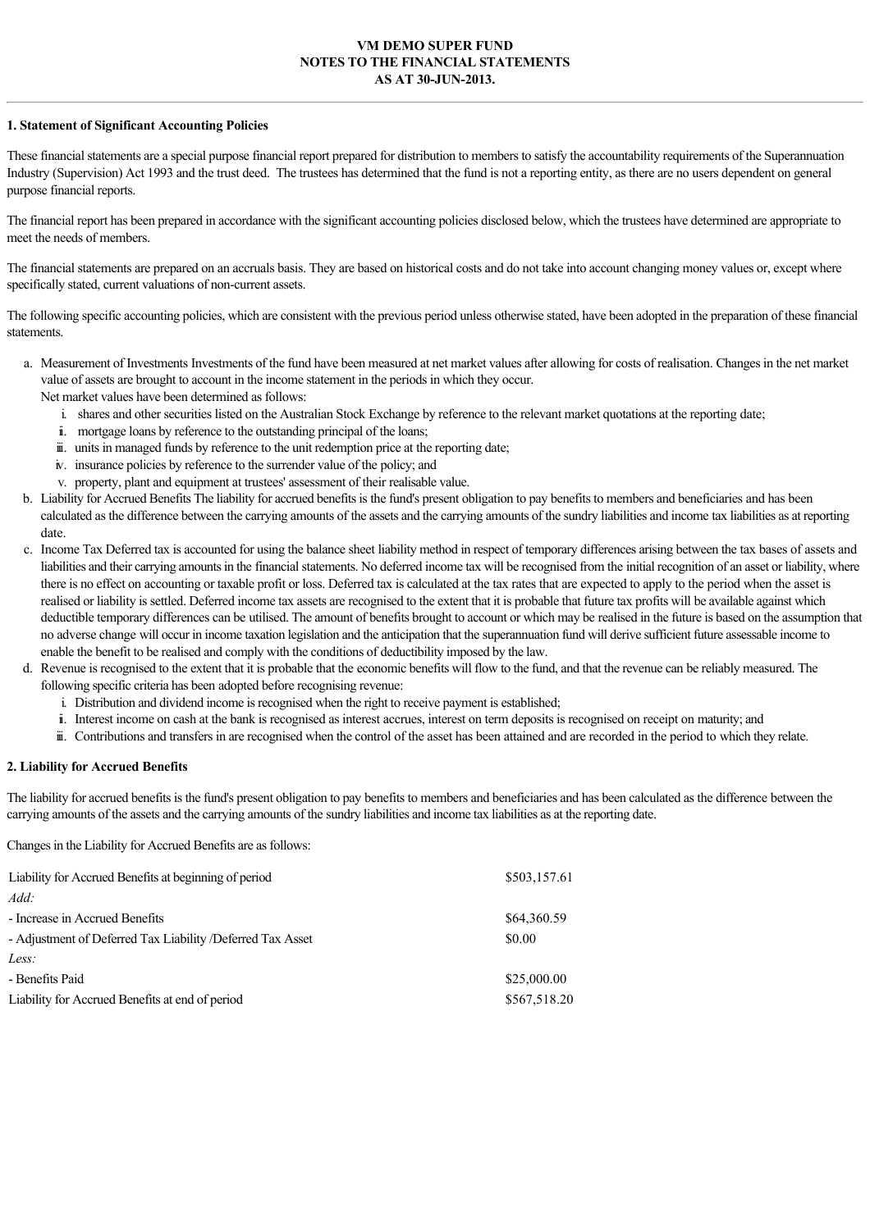## **VM DEMO SUPER FUND NOTES TO THE FINANCIAL STATEMENTS AS AT 30-JUN-2013.**

#### **1. Statement of Significant Accounting Policies**

These financial statements are a special purpose financial report prepared for distribution to members to satisfy the accountability requirements of the Superannuation Industry (Supervision) Act 1993 and the trust deed. The trustees has determined that the fund is not a reporting entity, as there are no users dependent on general purpose financial reports.

The financial report has been prepared in accordance with the significant accounting policies disclosed below, which the trustees have determined are appropriate to meet the needs of members.

The financial statements are prepared on an accruals basis. They are based on historical costs and do not take into account changing money values or, except where specifically stated, current valuations of non-current assets.

The following specific accounting policies, which are consistent with the previous period unless otherwise stated, have been adopted in the preparation of these financial statements.

- a. Measurement of Investments Investments of the fund have been measured at net market values after allowing for costs of realisation. Changes in the net market value of assets are brought to account in the income statement in the periods in which they occur. Net market values have been determined as follows:
	- i. shares and other securities listed on the Australian Stock Exchange by reference to the relevant market quotations at the reporting date;
	- ii. mortgage loans by reference to the outstanding principal of the loans;
	- iii. units in managed funds by reference to the unit redemption price at the reporting date;
	- iv. insurance policies by reference to the surrender value of the policy; and
	- v. property, plant and equipment at trustees' assessment of their realisable value.
- b. Liability for Accrued Benefits The liability for accrued benefits is the fund's present obligation to pay benefits to members and beneficiaries and has been calculated as the difference between the carrying amounts of the assets and the carrying amounts of the sundry liabilities and income tax liabilities as at reporting date.
- c. Income Tax Deferred tax is accounted for using the balance sheet liability method in respect of temporary differences arising between the tax bases of assets and liabilities and their carrying amounts in the financial statements. No deferred income tax will be recognised from the initial recognition of an asset or liability, where there is no effect on accounting or taxable profit or loss. Deferred tax is calculated at the tax rates that are expected to apply to the period when the asset is realised or liability is settled. Deferred income tax assets are recognised to the extent that it is probable that future tax profits will be available against which deductible temporary differences can be utilised. The amount of benefits brought to account or which may be realised in the future is based on the assumption that no adverse change will occur in income taxation legislation and the anticipation that the superannuation fund will derive sufficient future assessable income to enable the benefit to be realised and comply with the conditions of deductibility imposed by the law.
- d. Revenue is recognised to the extent that it is probable that the economic benefits will flow to the fund, and that the revenue can be reliably measured. The following specific criteria has been adopted before recognising revenue:
	- i. Distribution and dividend income is recognised when the right to receive payment is established;
	- ii. Interest income on cash at the bank is recognised as interest accrues, interest on term deposits is recognised on receipt on maturity; and
	- iii. Contributions and transfers in are recognised when the control of the asset has been attained and are recorded in the period to which they relate.

#### **2. Liability for Accrued Benefits**

The liability for accrued benefits is the fund's present obligation to pay benefits to members and beneficiaries and has been calculated as the difference between the carrying amounts of the assets and the carrying amounts of the sundry liabilities and income tax liabilities as at the reporting date.

Changes in the Liability for Accrued Benefits are as follows:

| Liability for Accrued Benefits at beginning of period       | \$503,157.61 |
|-------------------------------------------------------------|--------------|
| Add:                                                        |              |
| - Increase in Accrued Benefits                              | \$64,360.59  |
| - Adjustment of Deferred Tax Liability / Deferred Tax Asset | \$0.00       |
| Less:                                                       |              |
| - Benefits Paid                                             | \$25,000.00  |
| Liability for Accrued Benefits at end of period             | \$567,518.20 |
|                                                             |              |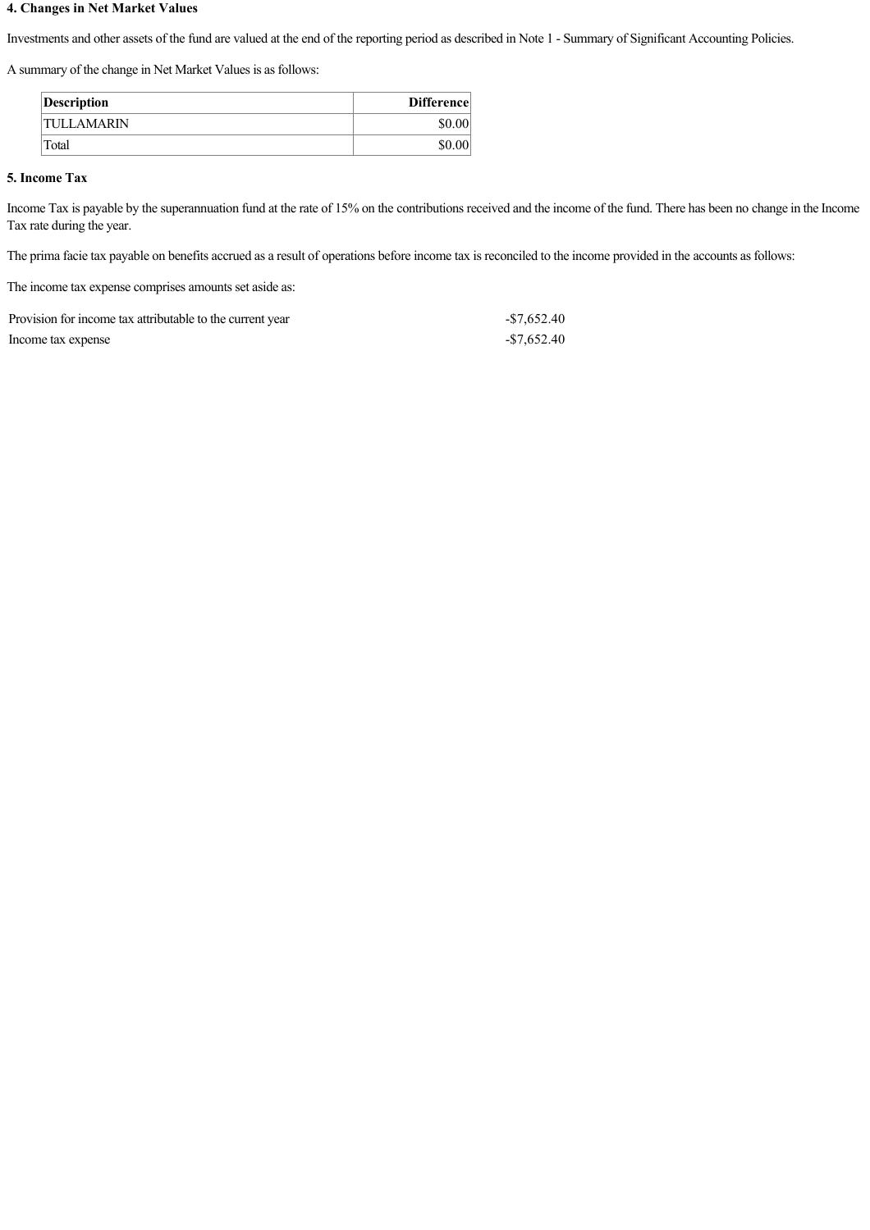## **4. Changes in Net Market Values**

Investments and other assets of the fund are valued at the end of the reporting period as described in Note 1 - Summary of Significant Accounting Policies.

A summary of the change in Net Market Values is as follows:

| Description       | <b>Difference</b> |
|-------------------|-------------------|
| <b>TULLAMARIN</b> | \$0.00            |
| Total             | \$0.00            |

## **5. Income Tax**

Income Tax is payable by the superannuation fund at the rate of 15% on the contributions received and the income of the fund. There has been no change in the Income Tax rate during the year.

The prima facie tax payable on benefits accrued as a result of operations before income tax is reconciled to the income provided in the accounts as follows:

The income tax expense comprises amounts set aside as:

| Provision for income tax attributable to the current year | -\$7.652.40 |
|-----------------------------------------------------------|-------------|
| Income tax expense                                        | -\$7.652.40 |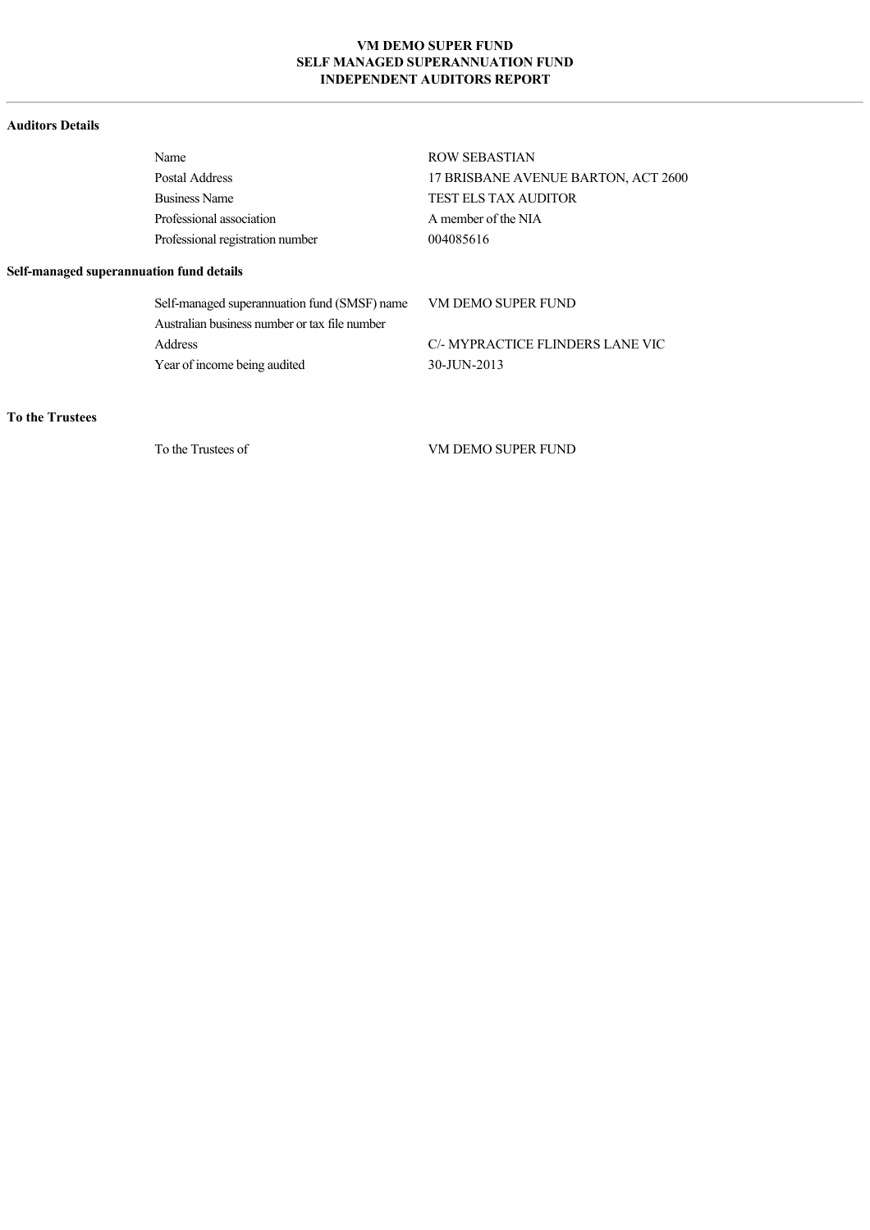## **VM DEMO SUPER FUND SELF MANAGED SUPERANNUATION FUND INDEPENDENT AUDITORS REPORT**

### **Auditors Details**

| Name                             | <b>ROW SEBASTIAN</b>                |
|----------------------------------|-------------------------------------|
| Postal Address                   | 17 BRISBANE AVENUE BARTON, ACT 2600 |
| <b>Business Name</b>             | <b>TEST ELS TAX AUDITOR</b>         |
| Professional association         | A member of the NIA                 |
| Professional registration number | 004085616                           |
|                                  |                                     |

## **Self-managed superannuation fund details**

Self-managed superannuation fund (SMSF) name VM DEMO SUPER FUND Australian business number or tax file number Address C/ MYPRACTICE FLINDERS LANE VIC Year of income being audited 30-JUN-2013

## **To the Trustees**

To the Trustees of VM DEMO SUPER FUND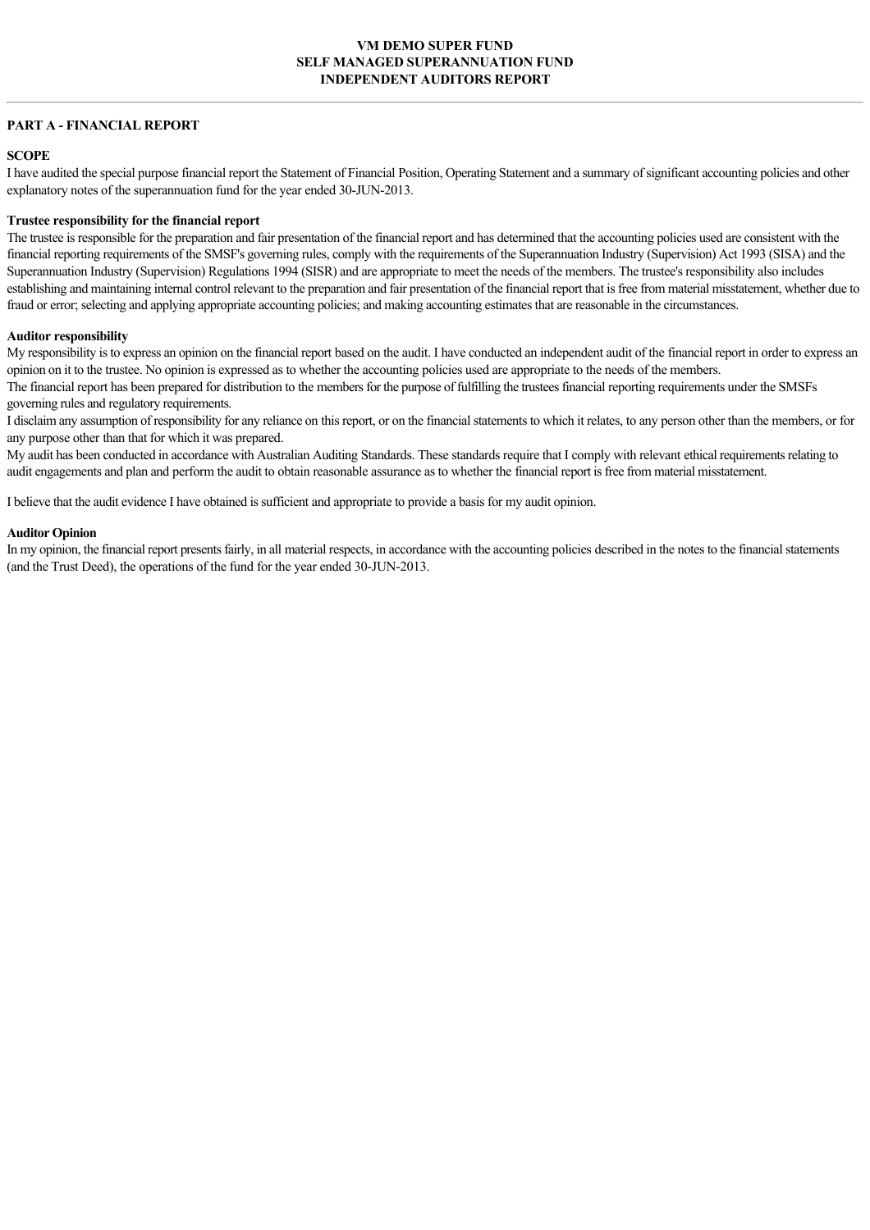## **PART A - FINANCIAL REPORT**

## **SCOPE**

I have audited the special purpose financial report the Statement of Financial Position, Operating Statement and a summary of significant accounting policies and other explanatory notes of the superannuation fund for the year ended 30-JUN-2013.

#### **Trustee responsibility for the financial report**

The trustee is responsible for the preparation and fair presentation of the financial report and has determined that the accounting policies used are consistent with the financial reporting requirements of the SMSF's governing rules, comply with the requirements of the Superannuation Industry (Supervision) Act 1993 (SISA) and the Superannuation Industry (Supervision) Regulations 1994 (SISR) and are appropriate to meet the needs of the members. The trustee's responsibility also includes establishing and maintaining internal control relevant to the preparation and fair presentation of the financial report that is free from material misstatement, whether due to fraud or error; selecting and applying appropriate accounting policies; and making accounting estimates that are reasonable in the circumstances.

#### **Auditor responsibility**

My responsibility is to express an opinion on the financial report based on the audit. I have conducted an independent audit of the financial report in order to express an opinion on it to the trustee. No opinion is expressed as to whether the accounting policies used are appropriate to the needs of the members.

The financial report has been prepared for distribution to the members for the purpose of fulfilling the trustees financial reporting requirements under the SMSFs governing rules and regulatory requirements.

I disclaim any assumption of responsibility for any reliance on this report, or on the financial statements to which it relates, to any person other than the members, or for any purpose other than that for which it was prepared.

My audit has been conducted in accordance with Australian Auditing Standards. These standards require that I comply with relevant ethical requirements relating to audit engagements and plan and perform the audit to obtain reasonable assurance as to whether the financial report is free from material misstatement.

I believe that the audit evidence I have obtained is sufficient and appropriate to provide a basis for my audit opinion.

#### **Auditor Opinion**

In my opinion, the financial report presents fairly, in all material respects, in accordance with the accounting policies described in the notes to the financial statements (and the Trust Deed), the operations of the fund for the year ended 30-JUN-2013.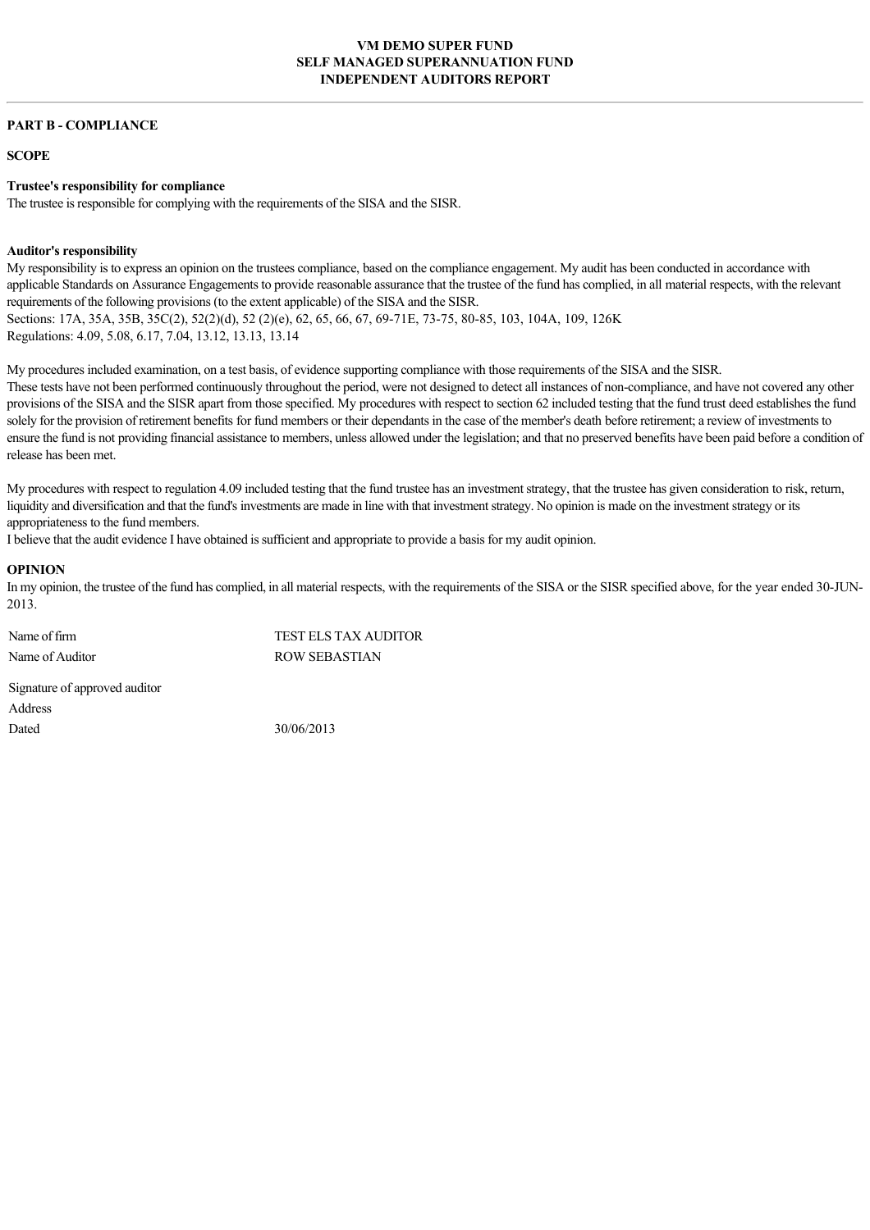## **VM DEMO SUPER FUND SELF MANAGED SUPERANNUATION FUND INDEPENDENT AUDITORS REPORT**

#### **PART B - COMPLIANCE**

**SCOPE**

#### **Trustee's responsibility for compliance**

The trustee is responsible for complying with the requirements of the SISA and the SISR.

#### **Auditor's responsibility**

My responsibility is to express an opinion on the trustees compliance, based on the compliance engagement. My audit has been conducted in accordance with applicable Standards on Assurance Engagements to provide reasonable assurance that the trustee of the fund has complied, in all material respects, with the relevant requirements of the following provisions (to the extent applicable) of the SISA and the SISR. Sections: 17A, 35A, 35B, 35C(2), 52(2)(d), 52(2)(e), 62, 65, 66, 67, 69-71E, 73-75, 80-85, 103, 104A, 109, 126K Regulations: 4.09, 5.08, 6.17, 7.04, 13.12, 13.13, 13.14

My procedures included examination, on a test basis, of evidence supporting compliance with those requirements of the SISA and the SISR. These tests have not been performed continuously throughout the period, were not designed to detect all instances of non-compliance, and have not covered any other provisions of the SISA and the SISR apart from those specified. My procedures with respect to section 62 included testing that the fund trust deed establishes the fund solely for the provision of retirement benefits for fund members or their dependants in the case of the member's death before retirement; a review of investments to ensure the fund is not providing financial assistance to members, unless allowed under the legislation; and that no preserved benefits have been paid before a condition of release has been met.

My procedures with respect to regulation 4.09 included testing that the fund trustee has an investment strategy, that the trustee has given consideration to risk, return, liquidity and diversification and that the fund's investments are made in line with that investment strategy. No opinion is made on the investment strategy or its appropriateness to the fund members.

I believe that the audit evidence I have obtained is sufficient and appropriate to provide a basis for my audit opinion.

## **OPINION**

In my opinion, the trustee of the fund has complied, in all material respects, with the requirements of the SISA or the SISR specified above, for the year ended 30-JUN-2013.

Name of firm TEST ELS TAX AUDITOR Name of Auditor ROW SEBASTIAN Signature of approved auditor

Address Dated 30/06/2013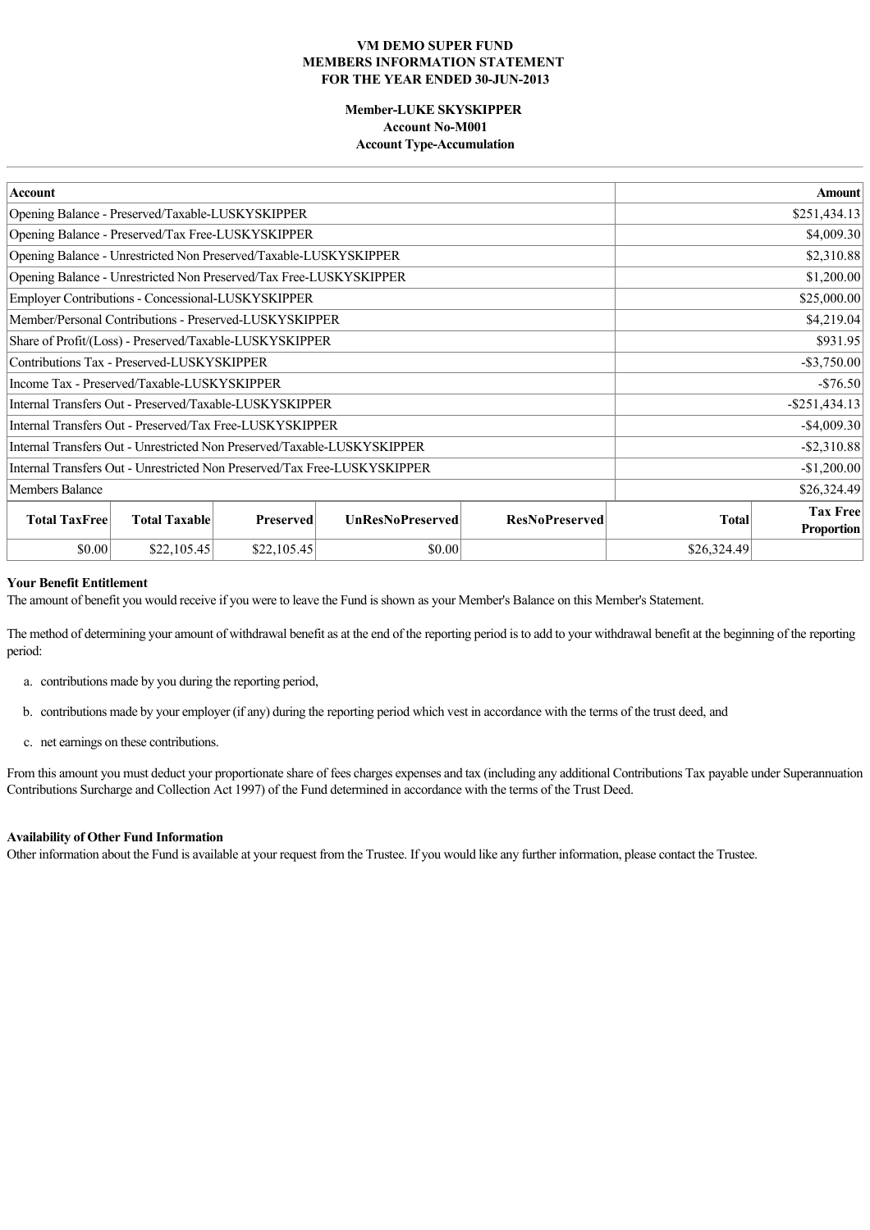## **MemberLUKE SKYSKIPPER Account No-M001 Account Type-Accumulation**

| <b>Account</b>                                                            |                         | <b>Amount</b>         |                |                                      |
|---------------------------------------------------------------------------|-------------------------|-----------------------|----------------|--------------------------------------|
| Opening Balance - Preserved/Taxable-LUSKYSKIPPER                          | \$251,434.13            |                       |                |                                      |
| Opening Balance - Preserved/Tax Free-LUSKYSKIPPER                         |                         |                       |                | \$4,009.30                           |
| Opening Balance - Unrestricted Non Preserved/Taxable-LUSKYSKIPPER         |                         |                       |                | \$2,310.88                           |
| Opening Balance - Unrestricted Non Preserved/Tax Free-LUSKYSKIPPER        |                         |                       |                | \$1,200.00                           |
| Employer Contributions - Concessional-LUSKYSKIPPER                        |                         |                       |                | \$25,000.00                          |
| Member/Personal Contributions - Preserved-LUSKYSKIPPER                    |                         |                       |                | \$4,219.04                           |
| Share of Profit/(Loss) - Preserved/Taxable-LUSKYSKIPPER                   |                         |                       |                | \$931.95                             |
| Contributions Tax - Preserved-LUSKYSKIPPER                                |                         |                       | $-$ \$3,750.00 |                                      |
| Income Tax - Preserved/Taxable-LUSKYSKIPPER                               |                         |                       | $-$76.50$      |                                      |
| Internal Transfers Out - Preserved/Taxable-LUSKYSKIPPER                   |                         |                       |                | $-$ \$251,434.13                     |
| Internal Transfers Out - Preserved/Tax Free-LUSKYSKIPPER                  |                         | $-$4,009.30$          |                |                                      |
| Internal Transfers Out - Unrestricted Non Preserved/Taxable-LUSKYSKIPPER  |                         | $-$ \$2,310.88        |                |                                      |
| Internal Transfers Out - Unrestricted Non Preserved/Tax Free-LUSKYSKIPPER |                         |                       | $-$1,200.00$   |                                      |
| Members Balance                                                           |                         |                       | \$26,324.49    |                                      |
| <b>Total TaxFree</b><br><b>Total Taxable</b><br><b>Preserved</b>          | <b>UnResNoPreserved</b> | <b>ResNoPreserved</b> | <b>Total</b>   | <b>Tax Free</b><br><b>Proportion</b> |
| \$0.00<br>\$22,105.45<br>\$22,105.45                                      | \$0.00                  |                       | \$26,324.49    |                                      |

### **Your Benefit Entitlement**

The amount of benefit you would receive if you were to leave the Fund is shown as your Member's Balance on this Member's Statement.

The method of determining your amount of withdrawal benefit as at the end of the reporting period is to add to your withdrawal benefit at the beginning of the reporting period:

- a. contributions made by you during the reporting period,
- b. contributions made by your employer (if any) during the reporting period which vest in accordance with the terms of the trust deed, and
- c. net earnings on these contributions.

From this amount you must deduct your proportionate share of fees charges expenses and tax (including any additional Contributions Tax payable under Superannuation Contributions Surcharge and Collection Act 1997) of the Fund determined in accordance with the terms of the Trust Deed.

#### **Availability of Other Fund Information**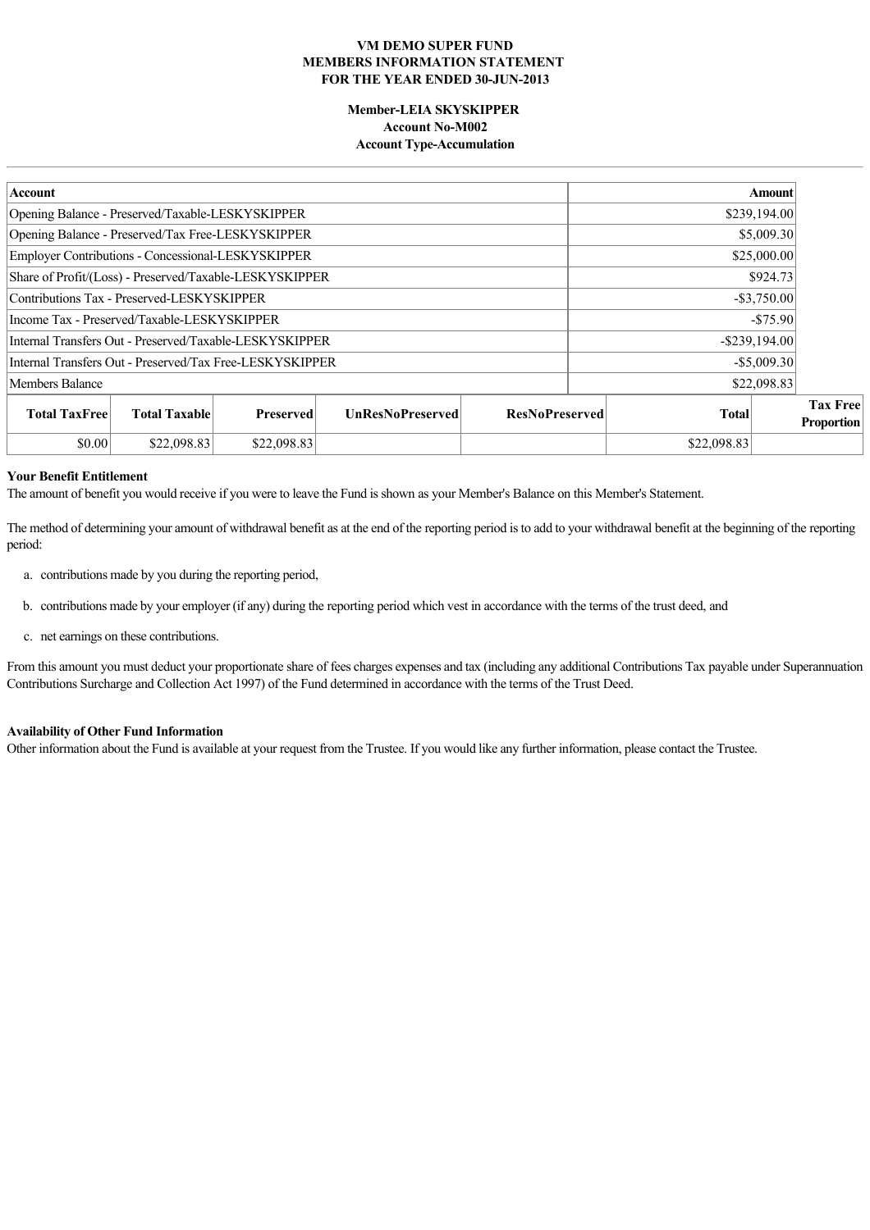## **MemberLEIA SKYSKIPPER Account No-M002 Account Type-Accumulation**

| Account                                                                                     |  |                       | Amount         |                  |             |                                      |
|---------------------------------------------------------------------------------------------|--|-----------------------|----------------|------------------|-------------|--------------------------------------|
| Opening Balance - Preserved/Taxable-LESKYSKIPPER                                            |  |                       | \$239,194.00   |                  |             |                                      |
| Opening Balance - Preserved/Tax Free-LESKYSKIPPER                                           |  |                       |                |                  | \$5,009.30  |                                      |
| Employer Contributions - Concessional-LESKYSKIPPER                                          |  |                       |                |                  | \$25,000.00 |                                      |
| Share of Profit/(Loss) - Preserved/Taxable-LESKYSKIPPER                                     |  |                       |                |                  | \$924.73    |                                      |
| Contributions Tax - Preserved-LESKYSKIPPER                                                  |  |                       | $-$ \$3,750.00 |                  |             |                                      |
| Income Tax - Preserved/Taxable-LESKYSKIPPER                                                 |  |                       |                | $-$75.90$        |             |                                      |
| Internal Transfers Out - Preserved/Taxable-LESKYSKIPPER                                     |  |                       |                | $-$ \$239,194.00 |             |                                      |
| Internal Transfers Out - Preserved/Tax Free-LESKYSKIPPER                                    |  |                       |                | $-$ \$5,009.30   |             |                                      |
| \$22,098.83<br>Members Balance                                                              |  |                       |                |                  |             |                                      |
| <b>Total Taxable</b><br><b>Total TaxFree</b><br><b>UnResNoPreserved</b><br><b>Preserved</b> |  | <b>ResNoPreserved</b> |                | <b>Total</b>     |             | <b>Tax Free</b><br><b>Proportion</b> |
| \$0.00<br>\$22,098.83<br>\$22,098.83                                                        |  |                       |                | \$22,098.83      |             |                                      |

## **Your Benefit Entitlement**

The amount of benefit you would receive if you were to leave the Fund is shown as your Member's Balance on this Member's Statement.

The method of determining your amount of withdrawal benefit as at the end of the reporting period is to add to your withdrawal benefit at the beginning of the reporting period:

- a. contributions made by you during the reporting period,
- b. contributions made by your employer (if any) during the reporting period which vest in accordance with the terms of the trust deed, and
- c. net earnings on these contributions.

From this amount you must deduct your proportionate share of fees charges expenses and tax (including any additional Contributions Tax payable under Superannuation Contributions Surcharge and Collection Act 1997) of the Fund determined in accordance with the terms of the Trust Deed.

## **Availability of Other Fund Information**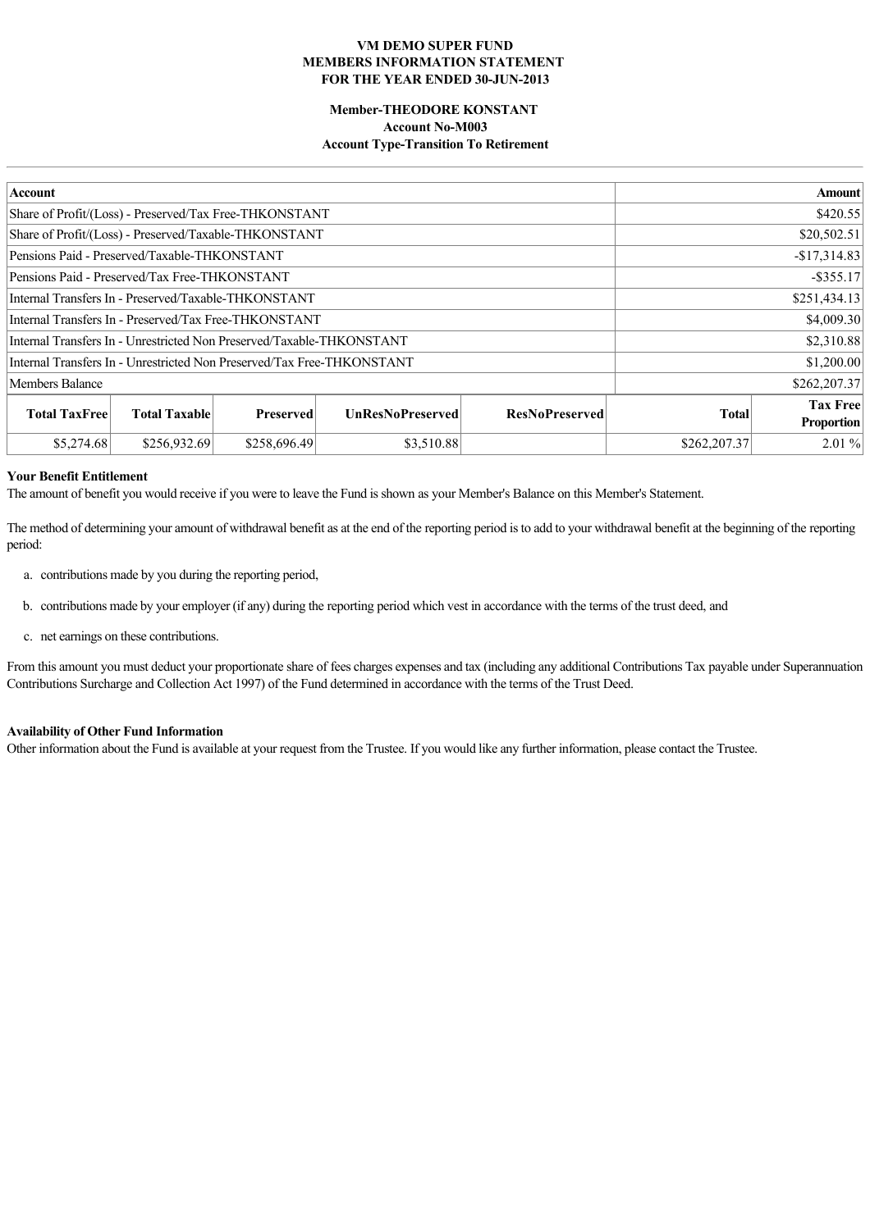## **Member-THEODORE KONSTANT Account No-M003 Account Type-Transition To Retirement**

| Account                                                                |                      |                  |                         |                       | <b>Amount</b> |                                      |  |  |
|------------------------------------------------------------------------|----------------------|------------------|-------------------------|-----------------------|---------------|--------------------------------------|--|--|
| Share of Profit/(Loss) - Preserved/Tax Free-THKONSTANT                 |                      |                  |                         |                       |               | \$420.55                             |  |  |
| Share of Profit/(Loss) - Preserved/Taxable-THKONSTANT                  |                      |                  |                         |                       |               | \$20,502.51                          |  |  |
| Pensions Paid - Preserved/Taxable-THKONSTANT                           |                      |                  |                         |                       |               | $-$17,314.83$                        |  |  |
| Pensions Paid - Preserved/Tax Free-THKONSTANT                          |                      |                  |                         |                       |               | $-$ \$355.17                         |  |  |
| Internal Transfers In - Preserved/Taxable-THKONSTANT                   |                      |                  |                         |                       | \$251,434.13  |                                      |  |  |
| Internal Transfers In - Preserved/Tax Free-THKONSTANT                  |                      |                  |                         | \$4,009.30            |               |                                      |  |  |
| Internal Transfers In - Unrestricted Non Preserved/Taxable-THKONSTANT  |                      |                  | \$2,310.88              |                       |               |                                      |  |  |
| Internal Transfers In - Unrestricted Non Preserved/Tax Free-THKONSTANT |                      |                  | \$1,200.00              |                       |               |                                      |  |  |
| Members Balance                                                        |                      |                  |                         | \$262,207.37          |               |                                      |  |  |
| <b>Total TaxFree</b>                                                   | <b>Total Taxable</b> | <b>Preserved</b> | <b>UnResNoPreserved</b> | <b>ResNoPreserved</b> | <b>Total</b>  | <b>Tax Free</b><br><b>Proportion</b> |  |  |
| \$5,274.68                                                             | \$256,932.69         | \$258,696.49     | \$3,510.88              |                       | \$262,207.37  | $2.01\%$                             |  |  |

## **Your Benefit Entitlement**

The amount of benefit you would receive if you were to leave the Fund is shown as your Member's Balance on this Member's Statement.

The method of determining your amount of withdrawal benefit as at the end of the reporting period is to add to your withdrawal benefit at the beginning of the reporting period:

- a. contributions made by you during the reporting period,
- b. contributions made by your employer (if any) during the reporting period which vest in accordance with the terms of the trust deed, and
- c. net earnings on these contributions.

From this amount you must deduct your proportionate share of fees charges expenses and tax (including any additional Contributions Tax payable under Superannuation Contributions Surcharge and Collection Act 1997) of the Fund determined in accordance with the terms of the Trust Deed.

## **Availability of Other Fund Information**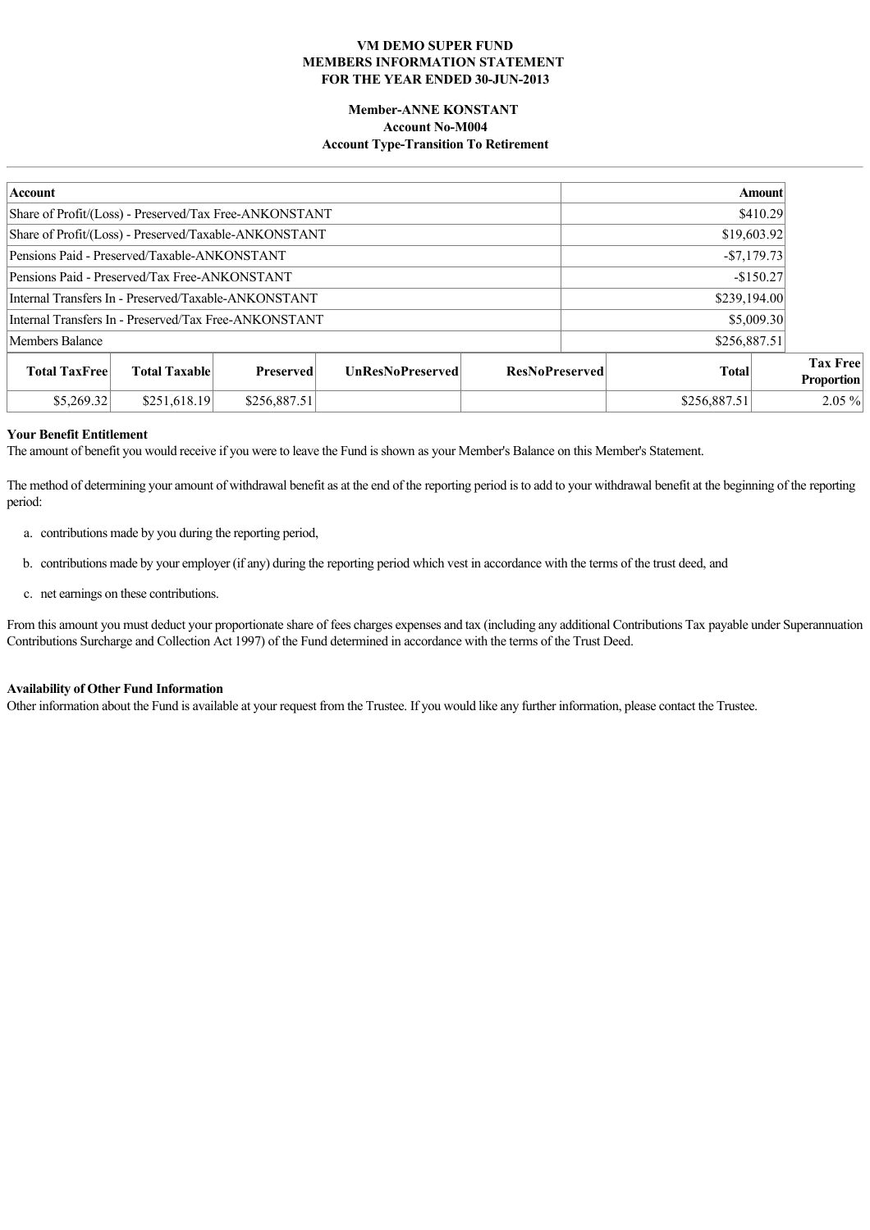## **Member-ANNE KONSTANT Account No-M004 Account Type-Transition To Retirement**

| <b>Account</b>                                         |                      |                  |                         |                       | <b>Amount</b> |              |  |                                      |
|--------------------------------------------------------|----------------------|------------------|-------------------------|-----------------------|---------------|--------------|--|--------------------------------------|
| Share of Profit/(Loss) - Preserved/Tax Free-ANKONSTANT |                      |                  |                         |                       | \$410.29      |              |  |                                      |
| Share of Profit/(Loss) - Preserved/Taxable-ANKONSTANT  |                      |                  |                         |                       |               | \$19,603.92  |  |                                      |
| Pensions Paid - Preserved/Taxable-ANKONSTANT           |                      |                  |                         |                       |               | $-$7,179.73$ |  |                                      |
| Pensions Paid - Preserved/Tax Free-ANKONSTANT          |                      |                  |                         |                       | $-$150.27$    |              |  |                                      |
| Internal Transfers In - Preserved/Taxable-ANKONSTANT   |                      |                  |                         |                       | \$239,194.00  |              |  |                                      |
| Internal Transfers In - Preserved/Tax Free-ANKONSTANT  |                      |                  |                         | \$5,009.30            |               |              |  |                                      |
| Members Balance                                        |                      |                  |                         |                       | \$256,887.51  |              |  |                                      |
| <b>Total TaxFree</b>                                   | <b>Total Taxable</b> | <b>Preserved</b> | <b>UnResNoPreserved</b> | <b>ResNoPreserved</b> |               | <b>Total</b> |  | <b>Tax Free</b><br><b>Proportion</b> |
| \$5,269.32                                             | \$251,618.19         | \$256,887.51     |                         |                       |               | \$256,887.51 |  | $2.05\%$                             |

### **Your Benefit Entitlement**

The amount of benefit you would receive if you were to leave the Fund is shown as your Member's Balance on this Member's Statement.

The method of determining your amount of withdrawal benefit as at the end of the reporting period is to add to your withdrawal benefit at the beginning of the reporting period:

- a. contributions made by you during the reporting period,
- b. contributions made by your employer (if any) during the reporting period which vest in accordance with the terms of the trust deed, and
- c. net earnings on these contributions.

From this amount you must deduct your proportionate share of fees charges expenses and tax (including any additional Contributions Tax payable under Superannuation Contributions Surcharge and Collection Act 1997) of the Fund determined in accordance with the terms of the Trust Deed.

#### **Availability of Other Fund Information**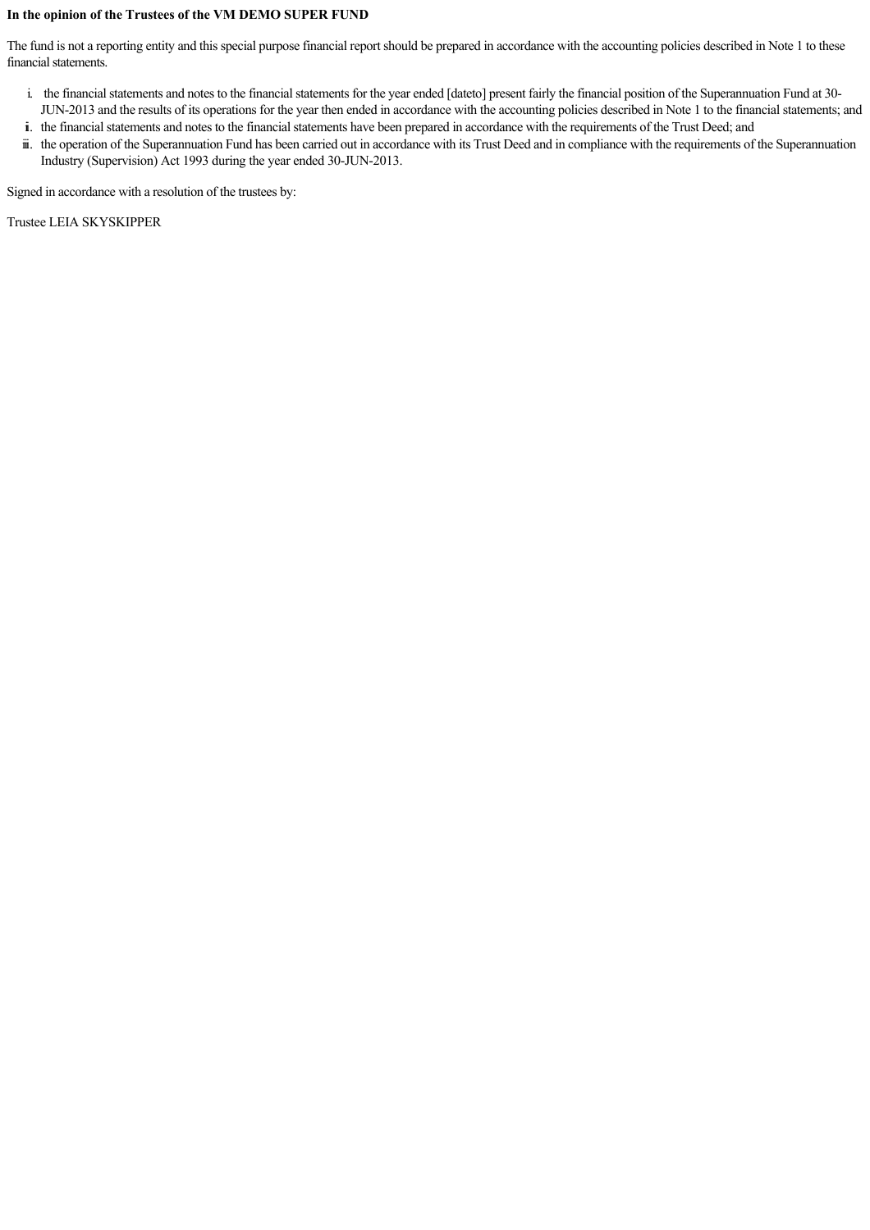## **In the opinion of the Trustees of the VM DEMO SUPER FUND**

The fund is not a reporting entity and this special purpose financial report should be prepared in accordance with the accounting policies described in Note 1 to these financial statements.

- i. the financial statements and notes to the financial statements for the year ended [dateto] present fairly the financial position of the Superannuation Fund at 30-
- JUN2013 and the results of its operations for the year then ended in accordance with the accounting policies described in Note 1 to the financial statements; and ii. the financial statements and notes to the financial statements have been prepared in accordance with the requirements of the Trust Deed; and
- ii. the operation of the Superannuation Fund has been carried out in accordance with its Trust Deed and in compliance with the requirements of the Superannuation Industry (Supervision) Act 1993 during the year ended 30-JUN-2013.

Signed in accordance with a resolution of the trustees by:

Trustee LEIA SKYSKIPPER